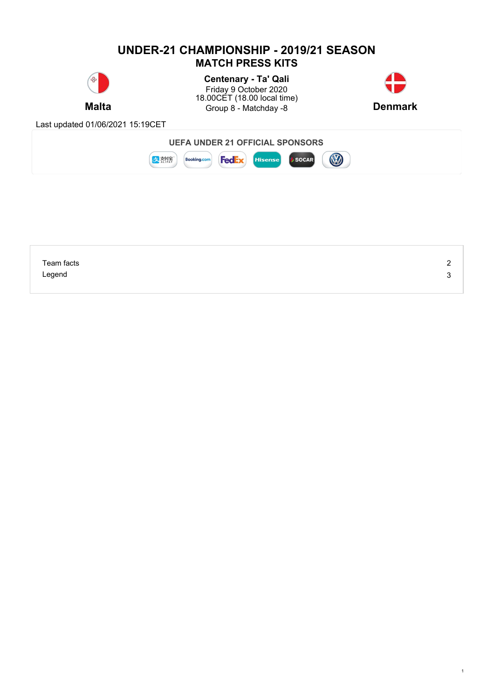## **UNDER-21 CHAMPIONSHIP - 2019/21 SEASON MATCH PRESS KITS Centenary - Ta' Qali** Friday 9 October 2020 18.00CET (18.00 local time) **Malta Example 3** Group 8 - Matchday -8 **Denmark Denmark** Last updated 01/06/2021 15:19CET **UEFA UNDER 21 OFFICIAL SPONSORS** B **SOCAR** ま熱療 **Booking.com FedEx** Hisense



1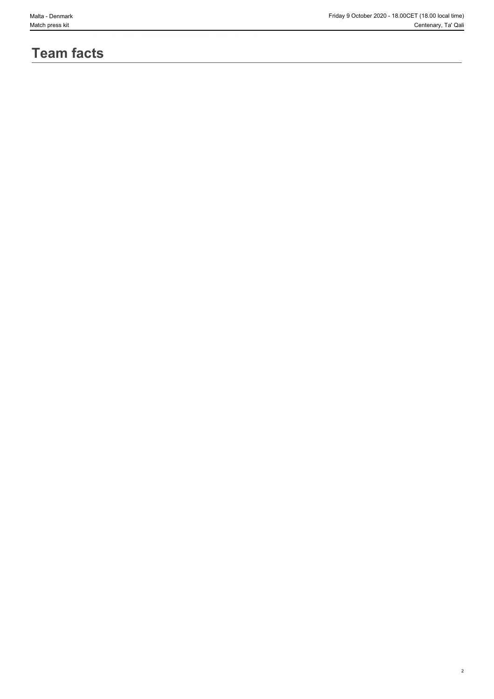# **Team facts**

2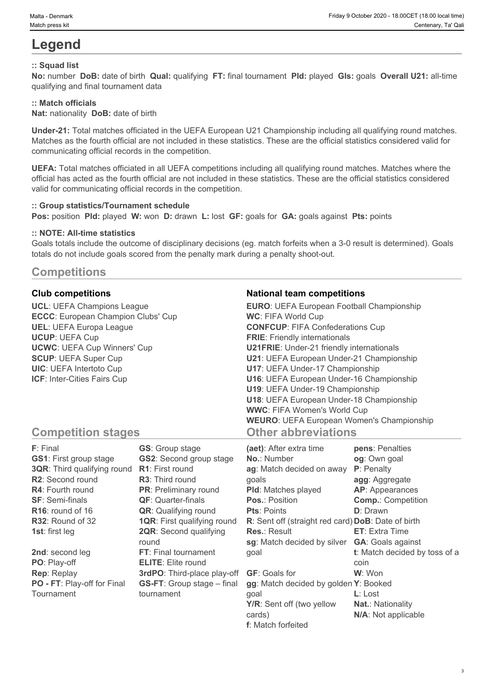# **Legend**

## **:: Squad list**

**No:** number **DoB:** date of birth **Qual:** qualifying **FT:** final tournament **Pld:** played **Gls:** goals **Overall U21:** all-time qualifying and final tournament data

#### **:: Match officials**

**Nat:** nationality **DoB:** date of birth

**Under-21:** Total matches officiated in the UEFA European U21 Championship including all qualifying round matches. Matches as the fourth official are not included in these statistics. These are the official statistics considered valid for communicating official records in the competition.

**UEFA:** Total matches officiated in all UEFA competitions including all qualifying round matches. Matches where the official has acted as the fourth official are not included in these statistics. These are the official statistics considered valid for communicating official records in the competition.

#### **:: Group statistics/Tournament schedule**

**Pos:** position **Pld:** played **W:** won **D:** drawn **L:** lost **GF:** goals for **GA:** goals against **Pts:** points

#### **:: NOTE: All-time statistics**

Goals totals include the outcome of disciplinary decisions (eg. match forfeits when a 3-0 result is determined). Goals totals do not include goals scored from the penalty mark during a penalty shoot-out.

# **Competitions**

**UCL**: UEFA Champions League **ECCC**: European Champion Clubs' Cup **UEL**: UEFA Europa League **UCUP**: UEFA Cup **UCWC**: UEFA Cup Winners' Cup **SCUP**: UEFA Super Cup **UIC**: UEFA Intertoto Cup **ICF**: Inter-Cities Fairs Cup

## **Club competitions National team competitions**

| <b>EURO:</b> UEFA European Football Championship |  |
|--------------------------------------------------|--|
| <b>WC: FIFA World Cup</b>                        |  |
| <b>CONFCUP: FIFA Confederations Cup</b>          |  |
| <b>FRIE:</b> Friendly internationals             |  |
| <b>U21FRIE:</b> Under-21 friendly internationals |  |
| U21: UEFA European Under-21 Championship         |  |
| U17: UEFA Under-17 Championship                  |  |
| U16: UEFA European Under-16 Championship         |  |
| U19: UEFA Under-19 Championship                  |  |
| U18: UEFA European Under-18 Championship         |  |
| <b>WWC: FIFA Women's World Cup</b>               |  |
| <b>WEURO: UEFA European Women's Championship</b> |  |
| <b>Other abbreviations</b>                       |  |

# **Competition stages**

| F: Final                           | <b>GS:</b> Group stage             | (aet): After extra time                            | pens: Penalties               |
|------------------------------------|------------------------------------|----------------------------------------------------|-------------------------------|
| <b>GS1:</b> First group stage      | <b>GS2:</b> Second group stage     | <b>No.: Number</b>                                 | og: Own goal                  |
| <b>3QR:</b> Third qualifying round | <b>R1:</b> First round             | ag: Match decided on away                          | P: Penalty                    |
| R2: Second round                   | <b>R3:</b> Third round             | qoals                                              | agg: Aggregate                |
| <b>R4: Fourth round</b>            | <b>PR:</b> Preliminary round       | <b>PId:</b> Matches played                         | <b>AP:</b> Appearances        |
| <b>SF: Semi-finals</b>             | <b>QF:</b> Quarter-finals          | <b>Pos.: Position</b>                              | <b>Comp.: Competition</b>     |
| $R16$ : round of 16                | <b>QR:</b> Qualifying round        | <b>Pts: Points</b>                                 | <b>D</b> : Drawn              |
| R32: Round of 32                   | <b>1QR:</b> First qualifying round | R: Sent off (straight red card) DoB: Date of birth |                               |
| <b>1st:</b> first leg              | <b>2QR:</b> Second qualifying      | <b>Res.: Result</b>                                | <b>ET:</b> Extra Time         |
|                                    | round                              | sg: Match decided by silver                        | <b>GA: Goals against</b>      |
| 2nd: second leg                    | FT: Final tournament               | goal                                               | t: Match decided by toss of a |
| PO: Play-off                       | <b>ELITE:</b> Elite round          |                                                    | coin                          |
| <b>Rep: Replay</b>                 | 3rdPO: Third-place play-off        | <b>GF:</b> Goals for                               | W: Won                        |
| PO - FT: Play-off for Final        | <b>GS-FT:</b> Group stage – final  | gg: Match decided by golden Y: Booked              |                               |
| Tournament                         | tournament                         | goal                                               | $L:$ Lost                     |
|                                    |                                    | Y/R: Sent off (two yellow                          | <b>Nat.: Nationality</b>      |
|                                    |                                    | cards)                                             | N/A: Not applicable           |

**f**: Match forfeited